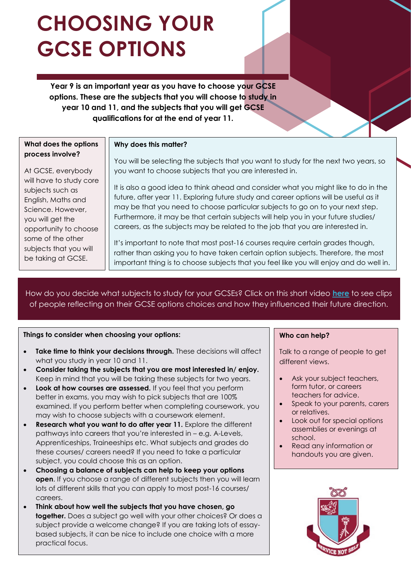# **CHOOSING YOUR GCSE OPTIONS**

**Year 9 is an important year as you have to choose your GCSE options. These are the subjects that you will choose to study in year 10 and 11, and the subjects that you will get GCSE qualifications for at the end of year 11.**

## **What does the options process involve?**

At GCSE, everybody will have to study core subjects such as English, Maths and Science. However, you will get the opportunity to choose some of the other subjects that you will be taking at GCSE.

# **Why does this matter?**

You will be selecting the subjects that you want to study for the next two years, so you want to choose subjects that you are interested in.

It is also a good idea to think ahead and consider what you might like to do in the future, after year 11. Exploring future study and career options will be useful as it may be that you need to choose particular subjects to go on to your next step. Furthermore, it may be that certain subjects will help you in your future studies/ careers, as the subjects may be related to the job that you are interested in.

It's important to note that most post-16 courses require certain grades though, rather than asking you to have taken certain option subjects. Therefore, the most important thing is to choose subjects that you feel like you will enjoy and do well in.

How do you decide what subjects to study for your GCSEs? Click on this short video **[here](https://www.youtube.com/watch?v=Q-AuuIxr0Ro)** to see clips of people reflecting on their GCSE options choices and how they influenced their future direction.

# **Things to consider when choosing your options:**

- **Take time to think your decisions through.** These decisions will affect what you study in year 10 and 11.
- **Consider taking the subjects that you are most interested in/ enjoy.** Keep in mind that you will be taking these subjects for two years.
- **Look at how courses are assessed.** If you feel that you perform better in exams, you may wish to pick subjects that are 100% examined. If you perform better when completing coursework, you may wish to choose subjects with a coursework element.
- **Research what you want to do after year 11.** Explore the different pathways into careers that you're interested in – e.g. A-Levels, Apprenticeships, Traineeships etc. What subjects and grades do these courses/ careers need? If you need to take a particular subject, you could choose this as an option.
- **Choosing a balance of subjects can help to keep your options open**. If you choose a range of different subjects then you will learn lots of different skills that you can apply to most post-16 courses/ careers.
- **Think about how well the subjects that you have chosen, go together.** Does a subject go well with your other choices? Or does a subject provide a welcome change? If you are taking lots of essaybased subjects, it can be nice to include one choice with a more practical focus.

# **Who can help?**

Talk to a range of people to get different views.

- Ask your subject teachers, form tutor, or careers teachers for advice.
- Speak to your parents, carers or relatives.
- Look out for special options assemblies or evenings at school.
- Read any information or handouts you are given.